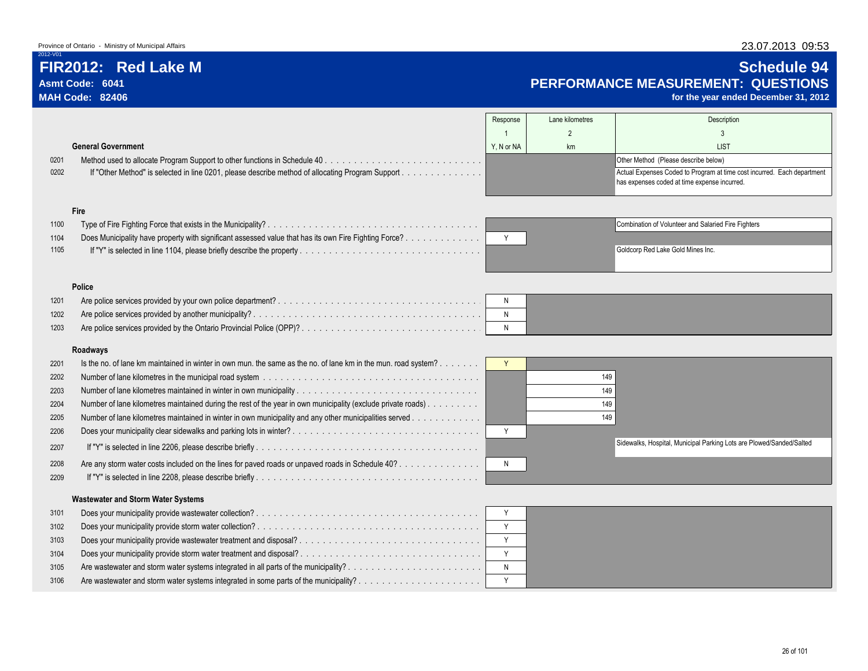# **FIR2012: Red Lake M Schedule 94 Asmt Code: 6041 PERFORMANCE MEASUREMENT: QUESTIONS**

for the year ended December 31, 2012

|                           |  |            | Lane kilometres | Description                                                                                                             |
|---------------------------|--|------------|-----------------|-------------------------------------------------------------------------------------------------------------------------|
|                           |  |            |                 |                                                                                                                         |
| <b>General Government</b> |  | Y. N or NA | km              | <b>LIST</b>                                                                                                             |
| 0201                      |  |            |                 | Other Method (Please describe below)                                                                                    |
| 0202                      |  |            |                 | Actual Expenses Coded to Program at time cost incurred. Each department<br>has expenses coded at time expense incurred. |

### **Fire**

| 1100 |                                                                                                       | Combination of Volunteer and Salaried Fire Fighters |  |
|------|-------------------------------------------------------------------------------------------------------|-----------------------------------------------------|--|
| 1104 | Does Municipality have property with significant assessed value that has its own Fire Fighting Force? |                                                     |  |
| 1105 |                                                                                                       | Goldcorp Red Lake Gold Mines Inc.                   |  |

| Combination of Volunteer and Salaried Fire Fighters |
|-----------------------------------------------------|
|                                                     |
| Goldcorp Red Lake Gold Mines Inc.                   |
|                                                     |

### **Police**

| 1201 |  |  |
|------|--|--|
| 1202 |  |  |
| 1203 |  |  |

### **Roadways**

| 2201 | Is the no. of lane km maintained in winter in own mun. the same as the no. of lane km in the mun. road system? |     |                                                                      |  |
|------|----------------------------------------------------------------------------------------------------------------|-----|----------------------------------------------------------------------|--|
| 2202 |                                                                                                                | 149 |                                                                      |  |
| 2203 |                                                                                                                | 149 |                                                                      |  |
| 2204 | Number of lane kilometres maintained during the rest of the year in own municipality (exclude private roads)   | 149 |                                                                      |  |
| 2205 | Number of lane kilometres maintained in winter in own municipality and any other municipalities served         | 149 |                                                                      |  |
| 2206 |                                                                                                                |     |                                                                      |  |
| 2207 |                                                                                                                |     | Sidewalks, Hospital, Municipal Parking Lots are Plowed/Sanded/Salted |  |
| 2208 | Are any storm water costs included on the lines for paved roads or unpaved roads in Schedule 40?               |     |                                                                      |  |
| 2209 |                                                                                                                |     |                                                                      |  |
|      |                                                                                                                |     |                                                                      |  |

| $\mathbf{v}$ |                                                                      |
|--------------|----------------------------------------------------------------------|
|              | 149                                                                  |
|              | 149                                                                  |
|              | 149                                                                  |
|              | 149                                                                  |
| $\checkmark$ |                                                                      |
|              | Sidewalks, Hospital, Municipal Parking Lots are Plowed/Sanded/Salted |
| Ν            |                                                                      |

### **Wastewater and Storm Water Systems**

| 3101 |                                                                   |  |
|------|-------------------------------------------------------------------|--|
| 3102 |                                                                   |  |
| 3103 | Does your municipality provide wastewater treatment and disposal? |  |
| 3104 |                                                                   |  |
| 3105 |                                                                   |  |
| 3106 |                                                                   |  |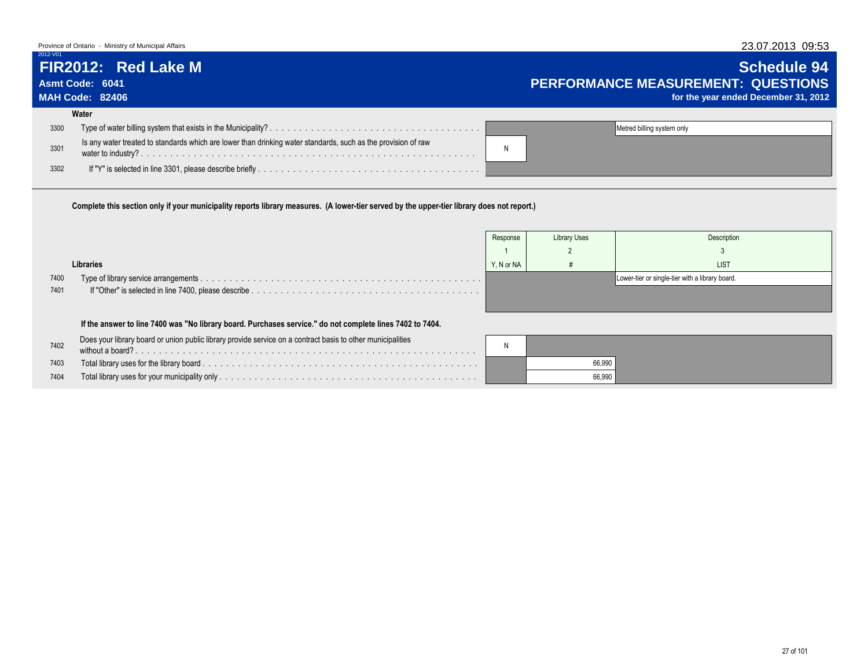### Province of Ontario - Ministry of Municipal Affairs 23.07.2013 09:53

 $2012 - V$ 

# **Water**

| 3300 |                                                                                                               | Metred billing system only |
|------|---------------------------------------------------------------------------------------------------------------|----------------------------|
| 3301 | Is any water treated to standards which are lower than drinking water standards, such as the provision of raw |                            |
| 3302 |                                                                                                               |                            |
|      |                                                                                                               |                            |

**Complete this section only if your municipality reports library measures. (A lower-tier served by the upper-tier library does not report.)**

|      |                                                                                                             | Response   | <b>Library Uses</b> | Description                                     |
|------|-------------------------------------------------------------------------------------------------------------|------------|---------------------|-------------------------------------------------|
|      |                                                                                                             |            |                     |                                                 |
|      | Libraries                                                                                                   | Y. N or NA |                     | <b>LIST</b>                                     |
| 7400 |                                                                                                             |            |                     | Lower-tier or single-tier with a library board. |
| 7401 |                                                                                                             |            |                     |                                                 |
|      |                                                                                                             |            |                     |                                                 |
|      | If the answer to line 7400 was "No library board. Purchases service." do not complete lines 7402 to 7404.   |            |                     |                                                 |
| 7402 | Does your library board or union public library provide service on a contract basis to other municipalities | N          |                     |                                                 |
| 7403 |                                                                                                             |            | 66,990              |                                                 |
| 7404 |                                                                                                             |            | 66,990              |                                                 |

# **FIR2012: Red Lake M Schedule 94 Asmt Code: 6041 PERFORMANCE MEASUREMENT: QUESTIONS**

for the year ended December 31, 2012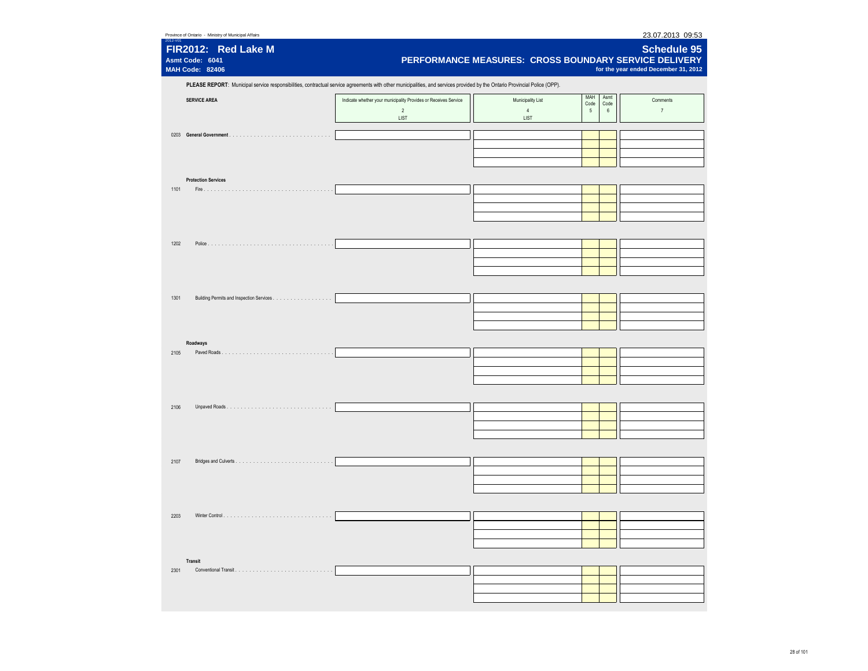| 23.07.2013 09:53<br>Province of Ontario - Ministry of Municipal Affairs<br>2012-V01 |                                                                                                                                                                            |                        |              |                                                                                                              |  |  |  |  |
|-------------------------------------------------------------------------------------|----------------------------------------------------------------------------------------------------------------------------------------------------------------------------|------------------------|--------------|--------------------------------------------------------------------------------------------------------------|--|--|--|--|
| FIR2012: Red Lake M<br>Asmt Code: 6041<br><b>MAH Code: 82406</b>                    |                                                                                                                                                                            |                        |              | Schedule 95<br>PERFORMANCE MEASURES: CROSS BOUNDARY SERVICE DELIVERY<br>for the year ended December 31, 2012 |  |  |  |  |
|                                                                                     | PLEASE REPORT: Municipal service responsibilities, contractual service agreements with other municipalities, and services provided by the Ontario Provincial Police (OPP). |                        |              |                                                                                                              |  |  |  |  |
|                                                                                     |                                                                                                                                                                            |                        | MAH<br>Asmt  |                                                                                                              |  |  |  |  |
| <b>SERVICE AREA</b>                                                                 | Indicate whether your municipality Provides or Receives Service                                                                                                            | Municipality List      | Code<br>Code | Comments                                                                                                     |  |  |  |  |
|                                                                                     | $\overline{2}$<br>LIST                                                                                                                                                     | $\overline{4}$<br>LIST | 5<br>$\,6\,$ | $\overline{7}$                                                                                               |  |  |  |  |
|                                                                                     |                                                                                                                                                                            |                        |              |                                                                                                              |  |  |  |  |
|                                                                                     |                                                                                                                                                                            |                        |              |                                                                                                              |  |  |  |  |
|                                                                                     |                                                                                                                                                                            |                        |              |                                                                                                              |  |  |  |  |
|                                                                                     |                                                                                                                                                                            |                        |              |                                                                                                              |  |  |  |  |
|                                                                                     |                                                                                                                                                                            |                        |              |                                                                                                              |  |  |  |  |
| <b>Protection Services</b>                                                          |                                                                                                                                                                            |                        |              |                                                                                                              |  |  |  |  |
| 1101                                                                                |                                                                                                                                                                            |                        |              |                                                                                                              |  |  |  |  |
|                                                                                     |                                                                                                                                                                            |                        |              |                                                                                                              |  |  |  |  |
|                                                                                     |                                                                                                                                                                            |                        |              |                                                                                                              |  |  |  |  |
|                                                                                     |                                                                                                                                                                            |                        |              |                                                                                                              |  |  |  |  |
|                                                                                     |                                                                                                                                                                            |                        |              |                                                                                                              |  |  |  |  |
| 1202                                                                                |                                                                                                                                                                            |                        |              |                                                                                                              |  |  |  |  |
|                                                                                     |                                                                                                                                                                            |                        |              |                                                                                                              |  |  |  |  |
|                                                                                     |                                                                                                                                                                            |                        |              |                                                                                                              |  |  |  |  |
|                                                                                     |                                                                                                                                                                            |                        |              |                                                                                                              |  |  |  |  |
|                                                                                     |                                                                                                                                                                            |                        |              |                                                                                                              |  |  |  |  |
| 1301                                                                                |                                                                                                                                                                            |                        |              |                                                                                                              |  |  |  |  |
|                                                                                     |                                                                                                                                                                            |                        |              |                                                                                                              |  |  |  |  |
|                                                                                     |                                                                                                                                                                            |                        |              |                                                                                                              |  |  |  |  |
|                                                                                     |                                                                                                                                                                            |                        |              |                                                                                                              |  |  |  |  |
| Roadways                                                                            |                                                                                                                                                                            |                        |              |                                                                                                              |  |  |  |  |
| 2105                                                                                |                                                                                                                                                                            |                        |              |                                                                                                              |  |  |  |  |
|                                                                                     |                                                                                                                                                                            |                        |              |                                                                                                              |  |  |  |  |
|                                                                                     |                                                                                                                                                                            |                        |              |                                                                                                              |  |  |  |  |
|                                                                                     |                                                                                                                                                                            |                        |              |                                                                                                              |  |  |  |  |
|                                                                                     |                                                                                                                                                                            |                        |              |                                                                                                              |  |  |  |  |
| 2106                                                                                |                                                                                                                                                                            |                        |              |                                                                                                              |  |  |  |  |
|                                                                                     |                                                                                                                                                                            |                        |              |                                                                                                              |  |  |  |  |
|                                                                                     |                                                                                                                                                                            |                        |              |                                                                                                              |  |  |  |  |
|                                                                                     |                                                                                                                                                                            |                        |              |                                                                                                              |  |  |  |  |
|                                                                                     |                                                                                                                                                                            |                        |              |                                                                                                              |  |  |  |  |
| 2107                                                                                |                                                                                                                                                                            |                        |              |                                                                                                              |  |  |  |  |
|                                                                                     |                                                                                                                                                                            |                        |              |                                                                                                              |  |  |  |  |
|                                                                                     |                                                                                                                                                                            |                        |              |                                                                                                              |  |  |  |  |
|                                                                                     |                                                                                                                                                                            |                        |              |                                                                                                              |  |  |  |  |
|                                                                                     |                                                                                                                                                                            |                        |              |                                                                                                              |  |  |  |  |
| 2203                                                                                |                                                                                                                                                                            |                        |              |                                                                                                              |  |  |  |  |
|                                                                                     |                                                                                                                                                                            |                        |              |                                                                                                              |  |  |  |  |
|                                                                                     |                                                                                                                                                                            |                        |              |                                                                                                              |  |  |  |  |
|                                                                                     |                                                                                                                                                                            |                        |              |                                                                                                              |  |  |  |  |
| Transit                                                                             |                                                                                                                                                                            |                        |              |                                                                                                              |  |  |  |  |
| 2301                                                                                |                                                                                                                                                                            |                        |              |                                                                                                              |  |  |  |  |
|                                                                                     |                                                                                                                                                                            |                        |              |                                                                                                              |  |  |  |  |
|                                                                                     |                                                                                                                                                                            |                        |              |                                                                                                              |  |  |  |  |
|                                                                                     |                                                                                                                                                                            |                        |              |                                                                                                              |  |  |  |  |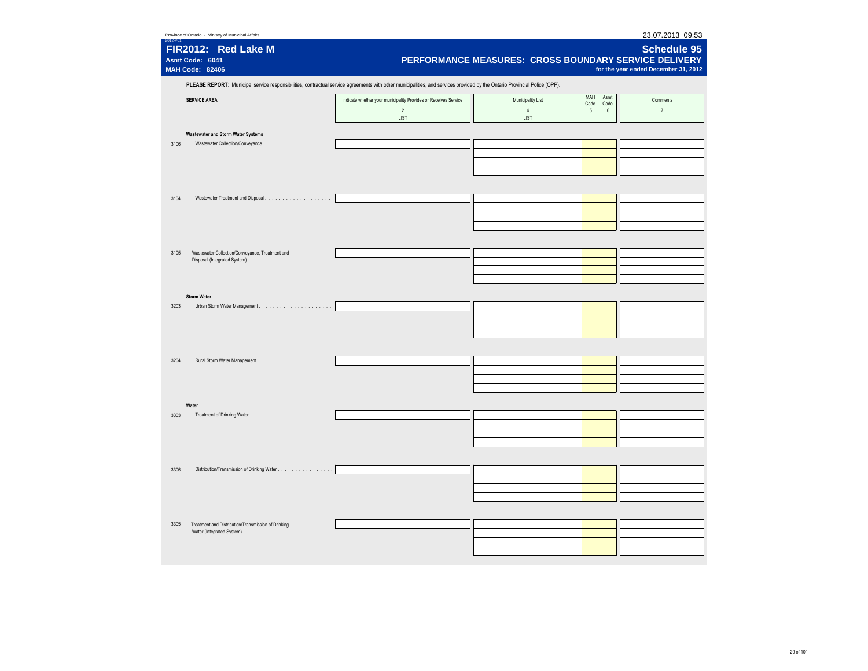|                                           | Province of Ontario - Ministry of Municipal Affairs                             |                                                                                                                                                                            |                                                       |                                       | 23.07.2013 09:53                                           |
|-------------------------------------------|---------------------------------------------------------------------------------|----------------------------------------------------------------------------------------------------------------------------------------------------------------------------|-------------------------------------------------------|---------------------------------------|------------------------------------------------------------|
| Asmt Code: 6041<br><b>MAH Code: 82406</b> | FIR2012: Red Lake M                                                             |                                                                                                                                                                            | PERFORMANCE MEASURES: CROSS BOUNDARY SERVICE DELIVERY |                                       | <b>Schedule 95</b><br>for the year ended December 31, 2012 |
|                                           |                                                                                 | PLEASE REPORT: Municipal service responsibilities, contractual service agreements with other municipalities, and services provided by the Ontario Provincial Police (OPP). |                                                       |                                       |                                                            |
| <b>SERVICE AREA</b>                       |                                                                                 | Indicate whether your municipality Provides or Receives Service<br>$\overline{2}$<br>LIST                                                                                  | Municipality List<br>$\overline{4}$<br>LIST           | MAH<br>Asmt<br>Code<br>Code<br>5<br>6 | Comments<br>$\overline{7}$                                 |
|                                           | <b>Wastewater and Storm Water Systems</b>                                       |                                                                                                                                                                            |                                                       |                                       |                                                            |
| 3106                                      | Wastewater Collection/Conveyance.<br>.                                          |                                                                                                                                                                            |                                                       |                                       |                                                            |
| 3104                                      |                                                                                 |                                                                                                                                                                            |                                                       |                                       |                                                            |
|                                           |                                                                                 |                                                                                                                                                                            |                                                       |                                       |                                                            |
| 3105                                      | Wastewater Collection/Conveyance, Treatment and<br>Disposal (Integrated System) |                                                                                                                                                                            |                                                       |                                       |                                                            |
| <b>Storm Water</b>                        |                                                                                 |                                                                                                                                                                            |                                                       |                                       |                                                            |
| 3203                                      |                                                                                 |                                                                                                                                                                            |                                                       |                                       |                                                            |
| 3204                                      |                                                                                 |                                                                                                                                                                            |                                                       |                                       |                                                            |
|                                           |                                                                                 |                                                                                                                                                                            |                                                       |                                       |                                                            |
| Water<br>3303                             |                                                                                 |                                                                                                                                                                            |                                                       |                                       |                                                            |
|                                           |                                                                                 |                                                                                                                                                                            |                                                       |                                       |                                                            |
|                                           |                                                                                 |                                                                                                                                                                            |                                                       |                                       |                                                            |
| 3306                                      | Distribution/Transmission of Drinking Water                                     |                                                                                                                                                                            |                                                       |                                       |                                                            |
| 3305                                      | Treatment and Distribution/Transmission of Drinking                             |                                                                                                                                                                            |                                                       |                                       |                                                            |
|                                           | Water (Integrated System)                                                       |                                                                                                                                                                            |                                                       |                                       |                                                            |
|                                           |                                                                                 |                                                                                                                                                                            |                                                       |                                       |                                                            |